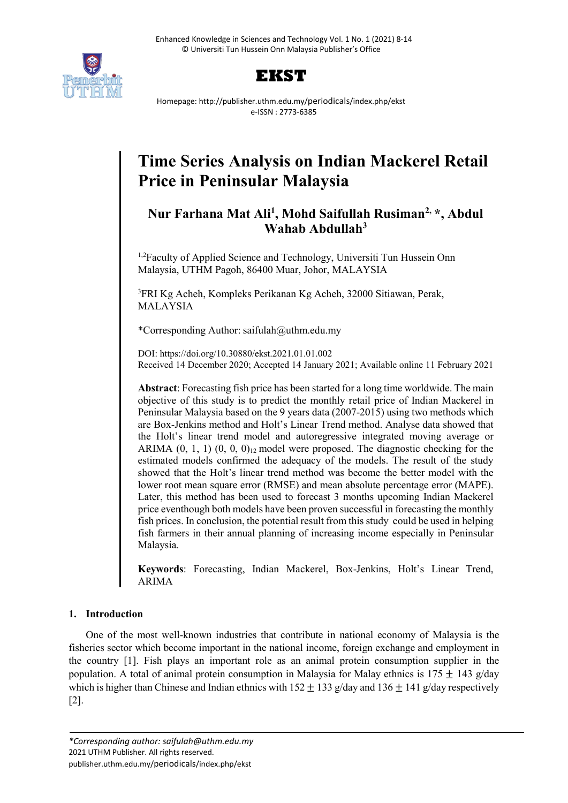



Homepage: http://publisher.uthm.edu.my/periodicals/index.php/ekst e-ISSN : 2773-6385

# **Time Series Analysis on Indian Mackerel Retail Price in Peninsular Malaysia**

# **Nur Farhana Mat Ali1 , Mohd Saifullah Rusiman2, \*, Abdul Wahab Abdullah3**

<sup>1,2</sup>Faculty of Applied Science and Technology, Universiti Tun Hussein Onn Malaysia, UTHM Pagoh, 86400 Muar, Johor, MALAYSIA

3 FRI Kg Acheh, Kompleks Perikanan Kg Acheh, 32000 Sitiawan, Perak, MALAYSIA

\*Corresponding Author: saifulah@uthm.edu.my

DOI: https://doi.org/10.30880/ekst.2021.01.01.002 Received 14 December 2020; Accepted 14 January 2021; Available online 11 February 2021

**Abstract**: Forecasting fish price has been started for a long time worldwide. The main objective of this study is to predict the monthly retail price of Indian Mackerel in Peninsular Malaysia based on the 9 years data (2007-2015) using two methods which are Box-Jenkins method and Holt's Linear Trend method. Analyse data showed that the Holt's linear trend model and autoregressive integrated moving average or ARIMA  $(0, 1, 1)$   $(0, 0, 0)$ <sub>12</sub> model were proposed. The diagnostic checking for the estimated models confirmed the adequacy of the models. The result of the study showed that the Holt's linear trend method was become the better model with the lower root mean square error (RMSE) and mean absolute percentage error (MAPE). Later, this method has been used to forecast 3 months upcoming Indian Mackerel price eventhough both models have been proven successful in forecasting the monthly fish prices. In conclusion, the potential result from this study could be used in helping fish farmers in their annual planning of increasing income especially in Peninsular Malaysia.

**Keywords**: Forecasting, Indian Mackerel, Box-Jenkins, Holt's Linear Trend, ARIMA

# **1. Introduction**

One of the most well-known industries that contribute in national economy of Malaysia is the fisheries sector which become important in the national income, foreign exchange and employment in the country [1]. Fish plays an important role as an animal protein consumption supplier in the population. A total of animal protein consumption in Malaysia for Malay ethnics is  $175 \pm 143$  g/day which is higher than Chinese and Indian ethnics with  $152 \pm 133$  g/day and  $136 \pm 141$  g/day respectively [2].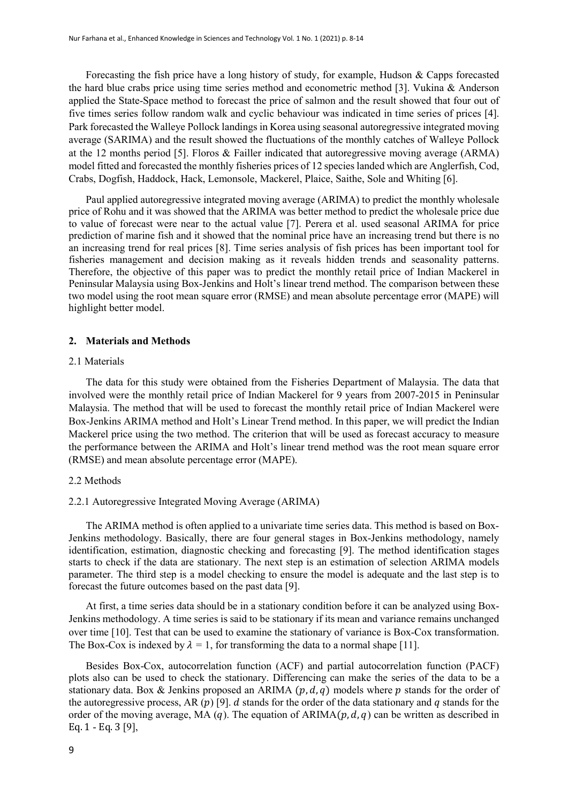Forecasting the fish price have a long history of study, for example, Hudson & Capps forecasted the hard blue crabs price using time series method and econometric method [3]. Vukina & Anderson applied the State-Space method to forecast the price of salmon and the result showed that four out of five times series follow random walk and cyclic behaviour was indicated in time series of prices [4]. Park forecasted the Walleye Pollock landings in Korea using seasonal autoregressive integrated moving average (SARIMA) and the result showed the fluctuations of the monthly catches of Walleye Pollock at the 12 months period [5]. Floros & Failler indicated that autoregressive moving average (ARMA) model fitted and forecasted the monthly fisheries prices of 12 species landed which are Anglerfish, Cod, Crabs, Dogfish, Haddock, Hack, Lemonsole, Mackerel, Plaice, Saithe, Sole and Whiting [6].

Paul applied autoregressive integrated moving average (ARIMA) to predict the monthly wholesale price of Rohu and it was showed that the ARIMA was better method to predict the wholesale price due to value of forecast were near to the actual value [7]. Perera et al. used seasonal ARIMA for price prediction of marine fish and it showed that the nominal price have an increasing trend but there is no an increasing trend for real prices [8]. Time series analysis of fish prices has been important tool for fisheries management and decision making as it reveals hidden trends and seasonality patterns. Therefore, the objective of this paper was to predict the monthly retail price of Indian Mackerel in Peninsular Malaysia using Box-Jenkins and Holt's linear trend method. The comparison between these two model using the root mean square error (RMSE) and mean absolute percentage error (MAPE) will highlight better model.

#### **2. Materials and Methods**

#### 2.1 Materials

The data for this study were obtained from the Fisheries Department of Malaysia. The data that involved were the monthly retail price of Indian Mackerel for 9 years from 2007-2015 in Peninsular Malaysia. The method that will be used to forecast the monthly retail price of Indian Mackerel were Box-Jenkins ARIMA method and Holt's Linear Trend method. In this paper, we will predict the Indian Mackerel price using the two method. The criterion that will be used as forecast accuracy to measure the performance between the ARIMA and Holt's linear trend method was the root mean square error (RMSE) and mean absolute percentage error (MAPE).

#### 2.2 Methods

#### 2.2.1 Autoregressive Integrated Moving Average (ARIMA)

The ARIMA method is often applied to a univariate time series data. This method is based on Box-Jenkins methodology. Basically, there are four general stages in Box-Jenkins methodology, namely identification, estimation, diagnostic checking and forecasting [9]. The method identification stages starts to check if the data are stationary. The next step is an estimation of selection ARIMA models parameter. The third step is a model checking to ensure the model is adequate and the last step is to forecast the future outcomes based on the past data [9].

At first, a time series data should be in a stationary condition before it can be analyzed using Box-Jenkins methodology. A time series is said to be stationary if its mean and variance remains unchanged over time [10]. Test that can be used to examine the stationary of variance is Box-Cox transformation. The Box-Cox is indexed by  $\lambda = 1$ , for transforming the data to a normal shape [11].

Besides Box-Cox, autocorrelation function (ACF) and partial autocorrelation function (PACF) plots also can be used to check the stationary. Differencing can make the series of the data to be a stationary data. Box & Jenkins proposed an ARIMA  $(p, d, q)$  models where  $p$  stands for the order of the autoregressive process, AR  $(p)$  [9]. *d* stands for the order of the data stationary and  $q$  stands for the order of the moving average, MA (q). The equation of  $ARIMA(p, d, q)$  can be written as described in Eq. 1 - Eq. 3 [9],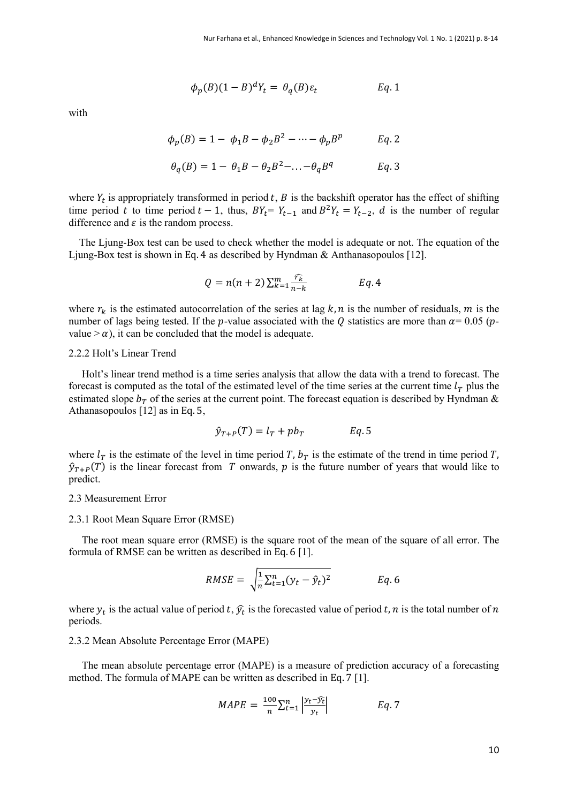$$
\phi_p(B)(1-B)^d Y_t = \theta_q(B)\varepsilon_t \qquad \qquad Eq. 1
$$

with

$$
\phi_p(B) = 1 - \phi_1 B - \phi_2 B^2 - \dots - \phi_p B^p \qquad Eq. 2
$$

$$
\theta_q(B) = 1 - \theta_1 B - \theta_2 B^2 - \dots - \theta_q B^q \qquad \qquad Eq. 3
$$

where  $Y_t$  is appropriately transformed in period  $t$ ,  $B$  is the backshift operator has the effect of shifting time period t to time period  $t - 1$ , thus,  $BY_t = Y_{t-1}$  and  $B^2Y_t = Y_{t-2}$ , d is the number of regular difference and  $\varepsilon$  is the random process.

 The Ljung-Box test can be used to check whether the model is adequate or not. The equation of the Ljung-Box test is shown in Eq. 4 as described by Hyndman & Anthanasopoulos [12].

$$
Q = n(n+2) \sum_{k=1}^{m} \frac{\widehat{r_k}}{n-k}
$$
 Eq. 4

where  $r_k$  is the estimated autocorrelation of the series at lag  $k, n$  is the number of residuals,  $m$  is the number of lags being tested. If the p-value associated with the Q statistics are more than  $\alpha$  = 0.05 (pvalue  $> \alpha$ ), it can be concluded that the model is adequate.

#### 2.2.2 Holt's Linear Trend

 Holt's linear trend method is a time series analysis that allow the data with a trend to forecast. The forecast is computed as the total of the estimated level of the time series at the current time  $l<sub>T</sub>$  plus the estimated slope  $b<sub>T</sub>$  of the series at the current point. The forecast equation is described by Hyndman & Athanasopoulos [12] as in Eq. 5,

$$
\hat{y}_{T+P}(T) = l_T + pb_T \qquad Eq. 5
$$

where  $l_T$  is the estimate of the level in time period T,  $b_T$  is the estimate of the trend in time period T,  $\hat{y}_{T+P}(T)$  is the linear forecast from T onwards, p is the future number of years that would like to predict.

#### 2.3 Measurement Error

#### 2.3.1 Root Mean Square Error (RMSE)

 The root mean square error (RMSE) is the square root of the mean of the square of all error. The formula of RMSE can be written as described in Eq. 6 [1].

$$
RMSE = \sqrt{\frac{1}{n} \sum_{t=1}^{n} (y_t - \hat{y}_t)^2}
$$
 Eq. 6

where  $y_t$  is the actual value of period t,  $\hat{y}_t$  is the forecasted value of period t, n is the total number of n periods.

#### 2.3.2 Mean Absolute Percentage Error (MAPE)

 The mean absolute percentage error (MAPE) is a measure of prediction accuracy of a forecasting method. The formula of MAPE can be written as described in Eq. 7 [1].

$$
MAPE = \frac{100}{n} \sum_{t=1}^{n} \left| \frac{y_t - \widehat{y_t}}{y_t} \right|
$$
 Eq. 7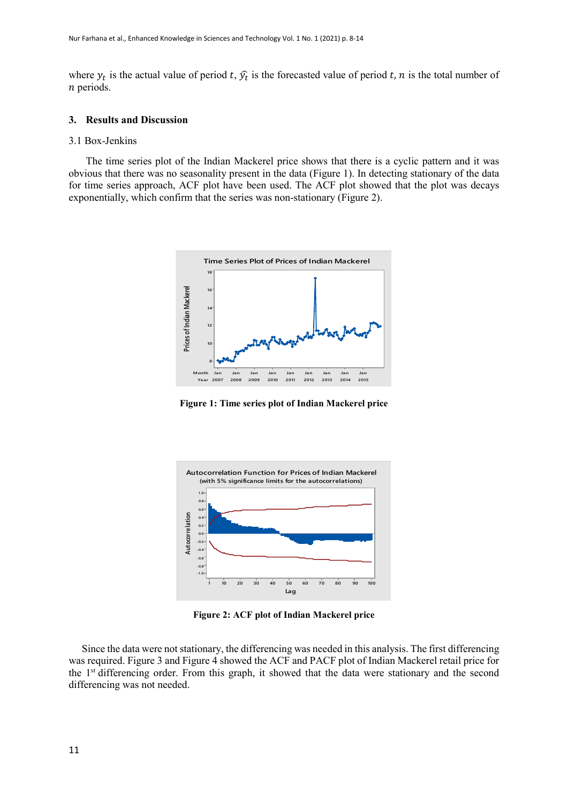where  $y_t$  is the actual value of period t,  $\hat{y}_t$  is the forecasted value of period t, n is the total number of  $n$  periods.

#### **3. Results and Discussion**

#### 3.1 Box-Jenkins

The time series plot of the Indian Mackerel price shows that there is a cyclic pattern and it was obvious that there was no seasonality present in the data (Figure 1). In detecting stationary of the data for time series approach, ACF plot have been used. The ACF plot showed that the plot was decays exponentially, which confirm that the series was non-stationary (Figure 2).



**Figure 1: Time series plot of Indian Mackerel price**



**Figure 2: ACF plot of Indian Mackerel price**

 Since the data were not stationary, the differencing was needed in this analysis. The first differencing was required. Figure 3 and Figure 4 showed the ACF and PACF plot of Indian Mackerel retail price for the 1<sup>st</sup> differencing order. From this graph, it showed that the data were stationary and the second differencing was not needed.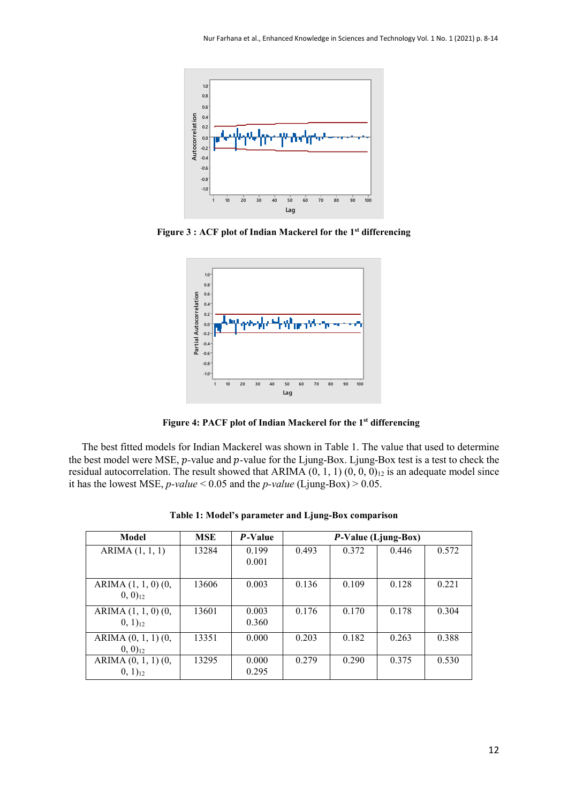

**Figure 3 : ACF plot of Indian Mackerel for the 1st differencing**



 **Figure 4: PACF plot of Indian Mackerel for the 1st differencing**

 The best fitted models for Indian Mackerel was shown in Table 1. The value that used to determine the best model were MSE, *p*-value and *p*-value for the Ljung-Box. Ljung-Box test is a test to check the residual autocorrelation. The result showed that ARIMA  $(0, 1, 1)$   $(0, 0, 0)$ <sub>12</sub> is an adequate model since it has the lowest MSE,  $p$ -value < 0.05 and the  $p$ -value (Ljung-Box) > 0.05.

| Model                                          | <b>MSE</b> | <b>P-Value</b> |       |       | P-Value (Ljung-Box) |       |
|------------------------------------------------|------------|----------------|-------|-------|---------------------|-------|
| ARIMA (1, 1, 1)                                | 13284      | 0.199<br>0.001 | 0.493 | 0.372 | 0.446               | 0.572 |
| ARIMA (1, 1, 0) (0, 1)<br>$(0, 0)_{12}$        | 13606      | 0.003          | 0.136 | 0.109 | 0.128               | 0.221 |
| ARIMA (1, 1, 0) (0,<br>$(0, 1)_{12}$           | 13601      | 0.003<br>0.360 | 0.176 | 0.170 | 0.178               | 0.304 |
| ARIMA $(0, 1, 1)$ $(0, 1, 1)$<br>$(0, 0)_{12}$ | 13351      | 0.000          | 0.203 | 0.182 | 0.263               | 0.388 |
| ARIMA $(0, 1, 1)$ $(0, 1, 1)$<br>$(0, 1)_{12}$ | 13295      | 0.000<br>0.295 | 0.279 | 0.290 | 0.375               | 0.530 |

**Table 1: Model's parameter and Ljung-Box comparison**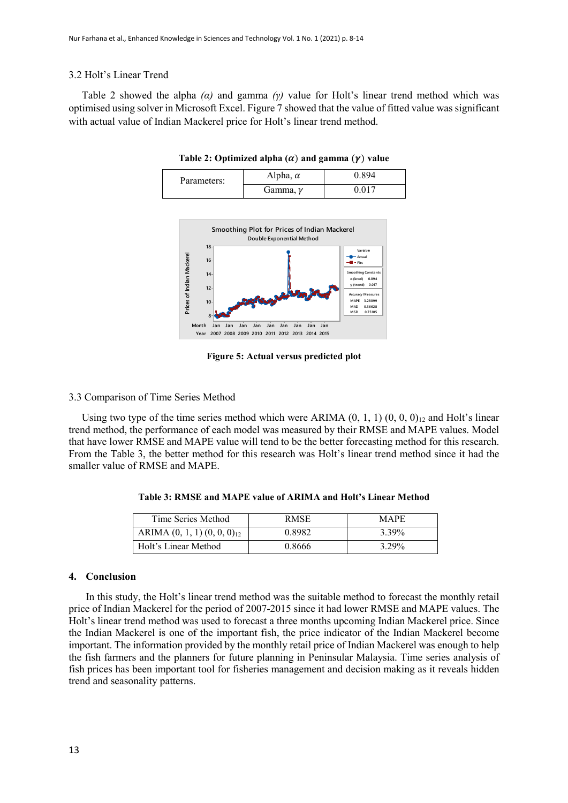## 3.2 Holt's Linear Trend

 Table 2 showed the alpha *(α)* and gamma *(γ)* value for Holt's linear trend method which was optimised using solver in Microsoft Excel. Figure 7 showed that the value of fitted value was significant with actual value of Indian Mackerel price for Holt's linear trend method.

| Parameters: | Alpha, $\alpha$ | ) 894 |  |
|-------------|-----------------|-------|--|
|             | Gamma, $\nu$    |       |  |

Table 2: Optimized alpha  $(\alpha)$  and gamma  $(\gamma)$  value



**Figure 5: Actual versus predicted plot**

# 3.3 Comparison of Time Series Method

Using two type of the time series method which were ARIMA  $(0, 1, 1)$   $(0, 0, 0)_{12}$  and Holt's linear trend method, the performance of each model was measured by their RMSE and MAPE values. Model that have lower RMSE and MAPE value will tend to be the better forecasting method for this research. From the Table 3, the better method for this research was Holt's linear trend method since it had the smaller value of RMSE and MAPE.

| Time Series Method                 | RMSE.  | MAPE. |
|------------------------------------|--------|-------|
| ARIMA $(0, 1, 1)$ $(0, 0, 0)_{12}$ | 0.8982 | 3.39% |
| Holt's Linear Method               | 0.8666 | 3.29% |

**Table 3: RMSE and MAPE value of ARIMA and Holt's Linear Method**

## **4. Conclusion**

In this study, the Holt's linear trend method was the suitable method to forecast the monthly retail price of Indian Mackerel for the period of 2007-2015 since it had lower RMSE and MAPE values. The Holt's linear trend method was used to forecast a three months upcoming Indian Mackerel price. Since the Indian Mackerel is one of the important fish, the price indicator of the Indian Mackerel become important. The information provided by the monthly retail price of Indian Mackerel was enough to help the fish farmers and the planners for future planning in Peninsular Malaysia. Time series analysis of fish prices has been important tool for fisheries management and decision making as it reveals hidden trend and seasonality patterns.